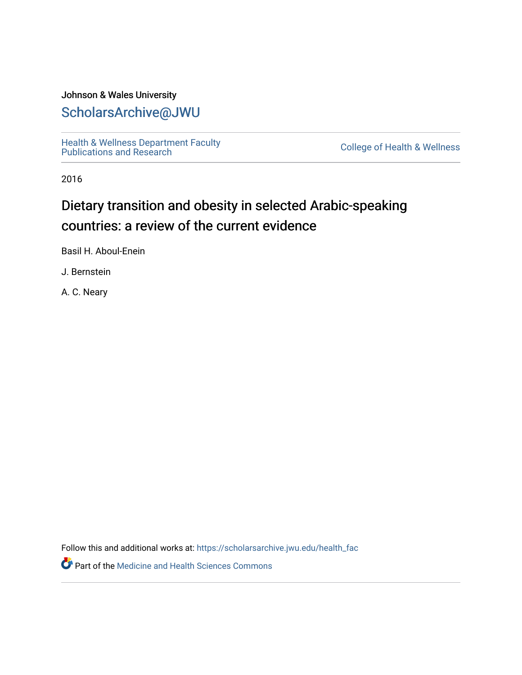# Johnson & Wales University [ScholarsArchive@JWU](https://scholarsarchive.jwu.edu/)

[Health & Wellness Department Faculty](https://scholarsarchive.jwu.edu/health_fac)  [Publications and Research](https://scholarsarchive.jwu.edu/health_fac) [College of Health & Wellness](https://scholarsarchive.jwu.edu/health_wellness) 

2016

# Dietary transition and obesity in selected Arabic-speaking countries: a review of the current evidence

Basil H. Aboul-Enein

J. Bernstein

A. C. Neary

Follow this and additional works at: [https://scholarsarchive.jwu.edu/health\\_fac](https://scholarsarchive.jwu.edu/health_fac?utm_source=scholarsarchive.jwu.edu%2Fhealth_fac%2F114&utm_medium=PDF&utm_campaign=PDFCoverPages) 

**Part of the Medicine and Health Sciences Commons**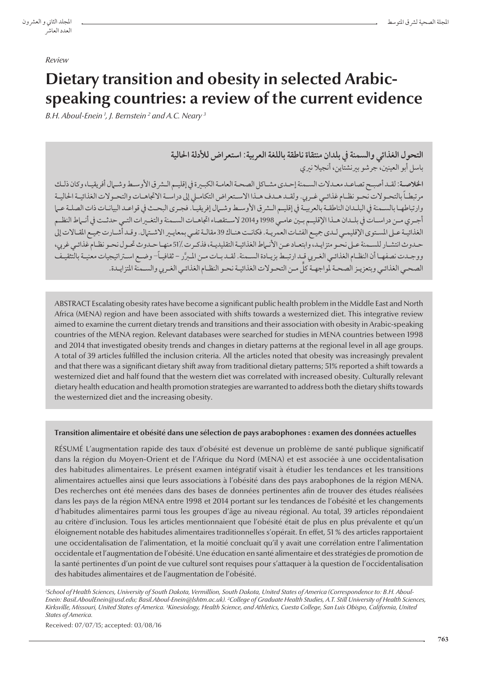#### *Review*

# **Dietary transition and obesity in selected Arabicspeaking countries: a review of the current evidence**

*B.H. Aboul-Enein <sup>1</sup> , J. Bernstein <sup>2</sup> and A.C. Neary <sup>3</sup>*

# **التحول الغذائي والسمنة يف بلدان منتقاة ناطقة باللغة العربية: استعراض لألدلة احلالية** باسل أبو العينني، جرشو برينشتاين، أنجيال نريي

**اخلالصـة:**لقـد أصبـح تصاعـد معـدالت السـمنة إحـدى مشـاكل الصحـة العامـة الكبـرة يف إقليـم الـرق األوسـط وشـال أفريقيـا، وكان ذلـك ً مرتبطـا بالتحـوالت نحـو نظـام غذائـي غـريب. ولقـد هـدف هـذا االسـتعراض التكامـي إىل دراسـة االجتاهـات والتحـوالت الغذائيـة احلاليـة وار تباطهـا بالسـمنة في البلـدان الناطقـة بالعربيـة في إقليـم الـشر ق الأوسـط وشـال إفريقيـا. فجـرى البحـث في قواعـد البيانـات ذات الصلـة عـيا أجـري مـن دراسـات يف بلـدان هـذا اإلقليـم بـن عامـي 1998 و2014 السـتقصاء اجتاهـات السـمنة والتغـرات التـي حدثـت يف أنـاط النظـم الغذائيـة عـلى المسـتوى الإقليمـي لـدى جميـع الفئـات العمريـة. فكانـت هنـاك 39 مقالـة تفـي بمعايـير الاشـتيال. وقـد أشـارت جميـع المقـالات إلى حـدوث انتشـار للسـمنة عـى نحـو متزايـد، وابتعـاد عـن األنـاط الغذائيـة التقليديـة، فذكـرت 51% منهـا حـدوث حتـول نحـو نظـام غذائـي غريب، َّ ووجـدت نصفهـا أن النظـام الغذائـي الغـريب قـد ارتبـط بزيـادة السـمنة. لقـد بـات مـن املـر ً ر - ثقافيـا– وضـع اسـراتيجيات معنيـة بالتثقيـف الصحـي الغذائـي وبتعزيـز الصحـة لمواجهـة كلّ مـن التحـولات الغذائيـة نحـو النظـام الغذائـي الغـربي والسـمنة المتزايـدة.

ABSTRACT Escalating obesity rates have become a significant public health problem in the Middle East and North Africa (MENA) region and have been associated with shifts towards a westernized diet. This integrative review aimed to examine the current dietary trends and transitions and their association with obesity in Arabic-speaking countries of the MENA region. Relevant databases were searched for studies in MENA countries between 1998 and 2014 that investigated obesity trends and changes in dietary patterns at the regional level in all age groups. A total of 39 articles fulfilled the inclusion criteria. All the articles noted that obesity was increasingly prevalent and that there was a significant dietary shift away from traditional dietary patterns; 51% reported a shift towards a westernized diet and half found that the western diet was correlated with increased obesity. Culturally relevant dietary health education and health promotion strategies are warranted to address both the dietary shifts towards the westernized diet and the increasing obesity.

#### **Transition alimentaire et obésité dans une sélection de pays arabophones : examen des données actuelles**

RÉSUMÉ L'augmentation rapide des taux d'obésité est devenue un problème de santé publique significatif dans la région du Moyen-Orient et de l'Afrique du Nord (MENA) et est associée à une occidentalisation des habitudes alimentaires. Le présent examen intégratif visait à étudier les tendances et les transitions alimentaires actuelles ainsi que leurs associations à l'obésité dans des pays arabophones de la région MENA. Des recherches ont été menées dans des bases de données pertinentes afin de trouver des études réalisées dans les pays de la région MENA entre 1998 et 2014 portant sur les tendances de l'obésité et les changements d'habitudes alimentaires parmi tous les groupes d'âge au niveau régional. Au total, 39 articles répondaient au critère d'inclusion. Tous les articles mentionnaient que l'obésité était de plus en plus prévalente et qu'un éloignement notable des habitudes alimentaires traditionnelles s'opérait. En effet, 51 % des articles rapportaient une occidentalisation de l'alimentation, et la moitié concluait qu'il y avait une corrélation entre l'alimentation occidentale et l'augmentation de l'obésité. Une éducation en santé alimentaire et des stratégies de promotion de la santé pertinentes d'un point de vue culturel sont requises pour s'attaquer à la question de l'occidentalisation des habitudes alimentaires et de l'augmentation de l'obésité.

*1 School of Health Sciences, University of South Dakota, Vermillion, South Dakota, United States of America (Correspondence to: B.H. Aboul-Enein: Basil.AboulEnein@usd.edu; Basil.Aboul-Enein@lshtm.ac.uk). 2 College of Graduate Health Studies, A.T. Still University of Health Sciences, Kirksville, Missouri, United States of America. 3 Kinesiology, Health Science, and Athletics, Cuesta College, San Luis Obispo, California, United States of America.*

Received: 07/07/15; accepted: 03/08/16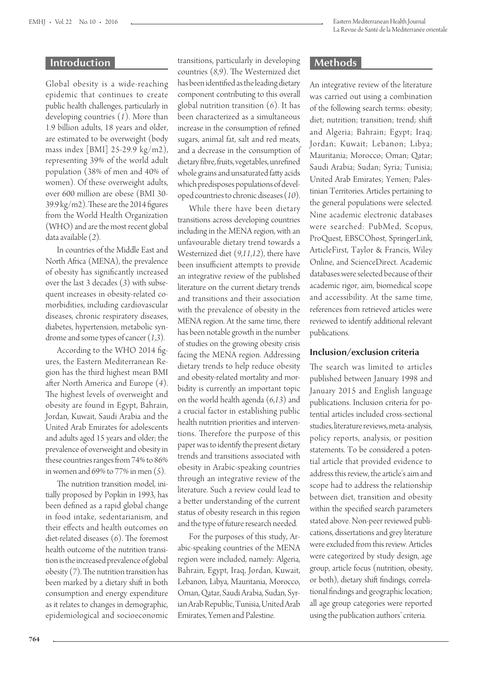#### **Introduction**

Global obesity is a wide-reaching epidemic that continues to create public health challenges, particularly in developing countries (*1*). More than 1.9 billion adults, 18 years and older, are estimated to be overweight (body mass index [BMI] 25-29.9 kg/m2), representing 39% of the world adult population (38% of men and 40% of women). Of these overweight adults, over 600 million are obese (BMI 30- 39.9 kg/m2). These are the 2014 figures from the World Health Organization (WHO) and are the most recent global data available (*2*).

In countries of the Middle East and North Africa (MENA), the prevalence of obesity has significantly increased over the last 3 decades (*3*) with subsequent increases in obesity-related comorbidities, including cardiovascular diseases, chronic respiratory diseases, diabetes, hypertension, metabolic syndrome and some types of cancer (*1*,*3*).

According to the WHO 2014 figures, the Eastern Mediterranean Region has the third highest mean BMI after North America and Europe (*4*). The highest levels of overweight and obesity are found in Egypt, Bahrain, Jordan, Kuwait, Saudi Arabia and the United Arab Emirates for adolescents and adults aged 15 years and older; the prevalence of overweight and obesity in these countries ranges from 74% to 86% in women and 69% to 77% in men (*5*).

The nutrition transition model, initially proposed by Popkin in 1993, has been defined as a rapid global change in food intake, sedentarianism, and their effects and health outcomes on diet-related diseases (*6*). The foremost health outcome of the nutrition transition is the increased prevalence of global obesity (*7*). The nutrition transition has been marked by a dietary shift in both consumption and energy expenditure as it relates to changes in demographic, epidemiological and socioeconomic transitions, particularly in developing countries (*8*,*9*). The Westernized diet has been identified as the leading dietary component contributing to this overall global nutrition transition (*6*). It has been characterized as a simultaneous increase in the consumption of refined sugars, animal fat, salt and red meats, and a decrease in the consumption of dietary fibre, fruits, vegetables, unrefined whole grains and unsaturated fatty acids which predisposes populations of developed countries to chronic diseases (*10*).

While there have been dietary transitions across developing countries including in the MENA region, with an unfavourable dietary trend towards a Westernized diet (*9*,*11*,*12*), there have been insufficient attempts to provide an integrative review of the published literature on the current dietary trends and transitions and their association with the prevalence of obesity in the MENA region. At the same time, there has been notable growth in the number of studies on the growing obesity crisis facing the MENA region. Addressing dietary trends to help reduce obesity and obesity-related mortality and morbidity is currently an important topic on the world health agenda (*6*,*13*) and a crucial factor in establishing public health nutrition priorities and interventions. Therefore the purpose of this paper was to identify the present dietary trends and transitions associated with obesity in Arabic-speaking countries through an integrative review of the literature. Such a review could lead to a better understanding of the current status of obesity research in this region and the type of future research needed.

For the purposes of this study, Arabic-speaking countries of the MENA region were included, namely: Algeria, Bahrain, Egypt, Iraq, Jordan, Kuwait, Lebanon, Libya, Mauritania, Morocco, Oman, Qatar, Saudi Arabia, Sudan, Syrian Arab Republic, Tunisia, United Arab Emirates, Yemen and Palestine.

### **Methods**

An integrative review of the literature was carried out using a combination of the following search terms: obesity; diet; nutrition; transition; trend; shift and Algeria; Bahrain; Egypt; Iraq; Jordan; Kuwait; Lebanon; Libya; Mauritania; Morocco; Oman; Qatar; Saudi Arabia; Sudan; Syria; Tunisia; United Arab Emirates; Yemen; Palestinian Territories. Articles pertaining to the general populations were selected. Nine academic electronic databases were searched: PubMed, Scopus, ProQuest, EBSCOhost, SpringerLink, ArticleFirst, Taylor & Francis, Wiley Online, and ScienceDirect. Academic databases were selected because of their academic rigor, aim, biomedical scope and accessibility. At the same time, references from retrieved articles were reviewed to identify additional relevant publications.

#### **Inclusion/exclusion criteria**

The search was limited to articles published between January 1998 and January 2015 and English language publications. Inclusion criteria for potential articles included cross-sectional studies, literature reviews, meta-analysis, policy reports, analysis, or position statements. To be considered a potential article that provided evidence to address this review, the article's aim and scope had to address the relationship between diet, transition and obesity within the specified search parameters stated above. Non-peer reviewed publications, dissertations and grey literature were excluded from this review. Articles were categorized by study design, age group, article focus (nutrition, obesity, or both), dietary shift findings, correlational findings and geographic location; all age group categories were reported using the publication authors' criteria.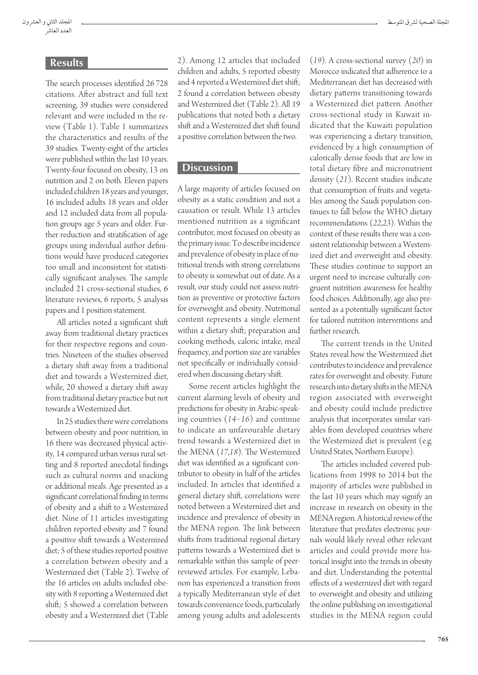#### **Results**

The search processes identified 26 728 citations. After abstract and full text screening, 39 studies were considered relevant and were included in the review (Table 1). Table 1 summarizes the characteristics and results of the 39 studies. Twenty-eight of the articles were published within the last 10 years. Twenty-four focused on obesity, 13 on nutrition and 2 on both. Eleven papers included children 18 years and younger, 16 included adults 18 years and older and 12 included data from all population groups age 5 years and older. Further reduction and stratification of age groups using individual author definitions would have produced categories too small and inconsistent for statistically significant analyses. The sample included 21 cross-sectional studies, 6 literature reviews, 6 reports, 5 analysis papers and 1 position statement.

All articles noted a significant shift away from traditional dietary practices for their respective regions and countries. Nineteen of the studies observed a dietary shift away from a traditional diet and towards a Westernized diet, while, 20 showed a dietary shift away from traditional dietary practice but not towards a Westernized diet.

In 25 studies there were correlations between obesity and poor nutrition, in 16 there was decreased physical activity, 14 compared urban versus rural setting and 8 reported anecdotal findings such as cultural norms and snacking or additional meals. Age presented as a significant correlational finding in terms of obesity and a shift to a Westernized diet. Nine of 11 articles investigating children reported obesity and 7 found a positive shift towards a Westernized diet; 5 of these studies reported positive a correlation between obesity and a Westernized diet (Table 2). Twelve of the 16 articles on adults included obesity with 8 reporting a Westernized diet shift; 5 showed a correlation between obesity and a Westernized diet (Table

2). Among 12 articles that included children and adults, 5 reported obesity and 4 reported a Westernized diet shift; 2 found a correlation between obesity and Westernized diet (Table 2). All 19 publications that noted both a dietary shift and a Westernized diet shift found a positive correlation between the two.

## **Discussion**

A large majority of articles focused on obesity as a static condition and not a causation or result. While 13 articles mentioned nutrition as a significant contributor, most focused on obesity as the primary issue. To describe incidence and prevalence of obesity in place of nutritional trends with strong correlations to obesity is somewhat out of date. As a result, our study could not assess nutrition as preventive or protective factors for overweight and obesity. Nutritional content represents a single element within a dietary shift; preparation and cooking methods, caloric intake, meal frequency, and portion size are variables not specifically or individually considered when discussing dietary shift.

Some recent articles highlight the current alarming levels of obesity and predictions for obesity in Arabic-speaking countries (*14*–*16*) and continue to indicate an unfavourable dietary trend towards a Westernized diet in the MENA (*17*,*18*). The Westernized diet was identified as a significant contributor to obesity in half of the articles included. In articles that identified a general dietary shift, correlations were noted between a Westernized diet and incidence and prevalence of obesity in the MENA region. The link between shifts from traditional regional dietary patterns towards a Westernized diet is remarkable within this sample of peerreviewed articles. For example, Lebanon has experienced a transition from a typically Mediterranean style of diet towards convenience foods, particularly among young adults and adolescents

(*19*). A cross-sectional survey (*20*) in Morocco indicated that adherence to a Mediterranean diet has decreased with dietary patterns transitioning towards a Westernized diet pattern. Another cross-sectional study in Kuwait indicated that the Kuwaiti population was experiencing a dietary transition, evidenced by a high consumption of calorically dense foods that are low in total dietary fibre and micronutrient density (*21*). Recent studies indicate that consumption of fruits and vegetables among the Saudi population continues to fall below the WHO dietary recommendations (*22*,*23*). Within the context of these results there was a consistent relationship between a Westernized diet and overweight and obesity. These studies continue to support an urgent need to increase culturally congruent nutrition awareness for healthy food choices. Additionally, age also presented as a potentially significant factor for tailored nutrition interventions and further research.

The current trends in the United States reveal how the Westernized diet contributes to incidence and prevalence rates for overweight and obesity. Future research into dietary shifts in the MENA region associated with overweight and obesity could include predictive analysis that incorporates similar variables from developed countries where the Westernized diet is prevalent (e.g. United States, Northern Europe).

The articles included covered publications from 1998 to 2014 but the majority of articles were published in the last 10 years which may signify an increase in research on obesity in the MENA region. A historical review of the literature that predates electronic journals would likely reveal other relevant articles and could provide more historical insight into the trends in obesity and diet. Understanding the potential effects of a westernized diet with regard to overweight and obesity and utilizing the online publishing on investigational studies in the MENA region could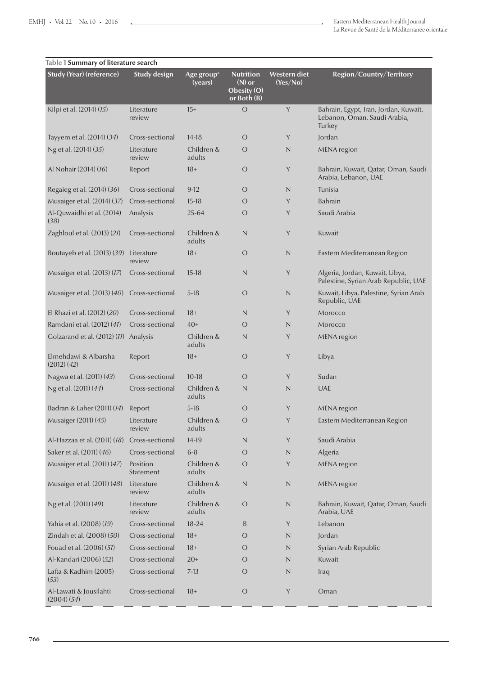| <b>Study (Year) (reference)</b>             | <b>Study design</b>   | Age group <sup>a</sup><br>(years) | <b>Nutrition</b><br>$(N)$ or<br>Obesity (O)<br>or Both (B) | Western diet<br>(Yes/No) | Region/Country/Territory                                                        |
|---------------------------------------------|-----------------------|-----------------------------------|------------------------------------------------------------|--------------------------|---------------------------------------------------------------------------------|
| Kilpi et al. (2014) (15)                    | Literature<br>review  | $15+$                             | О                                                          | Y                        | Bahrain, Egypt, Iran, Jordan, Kuwait,<br>Lebanon, Oman, Saudi Arabia,<br>Turkey |
| Tayyem et al. (2014) (34)                   | Cross-sectional       | $14-18$                           | O                                                          | Y                        | Jordan                                                                          |
| Ng et al. (2014) (35)                       | Literature<br>review  | Children &<br>adults              | O                                                          | $\mathsf{N}$             | MENA region                                                                     |
| Al Nohair (2014) (16)                       | Report                | $18+$                             | $\circ$                                                    | Y                        | Bahrain, Kuwait, Qatar, Oman, Saudi<br>Arabia, Lebanon, UAE                     |
| Regaieg et al. (2014) (36)                  | Cross-sectional       | $9-12$                            | О                                                          | $\mathsf{N}$             | Tunisia                                                                         |
| Musaiger et al. (2014) (37)                 | Cross-sectional       | $15-18$                           | О                                                          | Y                        | <b>Bahrain</b>                                                                  |
| Al-Quwaidhi et al. (2014)<br>(38)           | Analysis              | 25-64                             | О                                                          | Y                        | Saudi Arabia                                                                    |
| Zaghloul et al. (2013) (21)                 | Cross-sectional       | Children &<br>adults              | $\mathsf{N}$                                               | Y                        | Kuwait                                                                          |
| Boutayeb et al. (2013) (39) Literature      | review                | $18+$                             | O                                                          | $\mathsf{N}$             | Eastern Mediterranean Region                                                    |
| Musaiger et al. (2013) (17)                 | Cross-sectional       | $15-18$                           | N                                                          | Y                        | Algeria, Jordan, Kuwait, Libya,<br>Palestine, Syrian Arab Republic, UAE         |
| Musaiger et al. (2013) (40) Cross-sectional |                       | $5-18$                            | $\circ$                                                    | $\mathsf{N}$             | Kuwait, Libya, Palestine, Syrian Arab<br>Republic, UAE                          |
| El Rhazi et al. (2012) (20)                 | Cross-sectional       | $18+$                             | N                                                          | Y                        | Morocco                                                                         |
| Ramdani et al. (2012) (41)                  | Cross-sectional       | $40+$                             | О                                                          | $\mathsf{N}$             | Morocco                                                                         |
| Golzarand et al. (2012) (11) Analysis       |                       | Children &<br>adults              | N                                                          | Y                        | MENA region                                                                     |
| Elmehdawi & Albarsha<br>(2012)(42)          | Report                | $18+$                             | $\circ$                                                    | Y                        | Libya                                                                           |
| Nagwa et al. (2011) (43)                    | Cross-sectional       | $10-18$                           | О                                                          | Y                        | Sudan                                                                           |
| Ng et al. (2011) (44)                       | Cross-sectional       | Children &<br>adults              | N                                                          | $\mathsf{N}$             | <b>UAE</b>                                                                      |
| Badran & Laher (2011) (14)                  | Report                | $5-18$                            | О                                                          | Y                        | MENA region                                                                     |
| Musaiger (2011) (45)                        | Literature<br>review  | Children &<br>adults              | $\circ$                                                    | Y                        | Eastern Mediterranean Region                                                    |
| Al-Hazzaa et al. (2011) (18)                | Cross-sectional       | 14-19                             | N                                                          | Y                        | Saudi Arabia                                                                    |
| Saker et al. (2011) (46)                    | Cross-sectional       | $6 - 8$                           | O                                                          | $\mathsf{N}$             | Algeria                                                                         |
| Musaiger et al. (2011) (47)                 | Position<br>Statement | Children &<br>adults              | О                                                          | Y                        | MENA region                                                                     |
| Musaiger et al. (2011) (48)                 | Literature<br>review  | Children &<br>adults              | $\mathsf{N}\xspace$                                        | $\hbox{N}$               | MENA region                                                                     |
| Ng et al. (2011) (49)                       | Literature<br>review  | Children &<br>adults              | $\bigcirc$                                                 | $\mathsf{N}\xspace$      | Bahrain, Kuwait, Qatar, Oman, Saudi<br>Arabia, UAE                              |
| Yahia et al. (2008) (19)                    | Cross-sectional       | $18 - 24$                         | B                                                          | Y                        | Lebanon                                                                         |
| Zindah et al. (2008) (50)                   | Cross-sectional       | $18+$                             | О                                                          | N                        | Jordan                                                                          |
| Fouad et al. (2006) (57)                    | Cross-sectional       | $18+$                             | О                                                          | $\mathsf{N}$             | Syrian Arab Republic                                                            |
| Al-Kandari (2006) (52)                      | Cross-sectional       | $20+$                             | О                                                          | $\mathsf{N}\xspace$      | Kuwait                                                                          |
| Lafta & Kadhim (2005)<br>(53)               | Cross-sectional       | $7-13$                            | O                                                          | $\mathsf{N}$             | Iraq                                                                            |
| Al-Lawati & Jousilahti<br>(2004)(54)        | Cross-sectional       | $18+$                             | $\bigcirc$                                                 | Y                        | Oman                                                                            |

## **Table 1 Summary of literature search**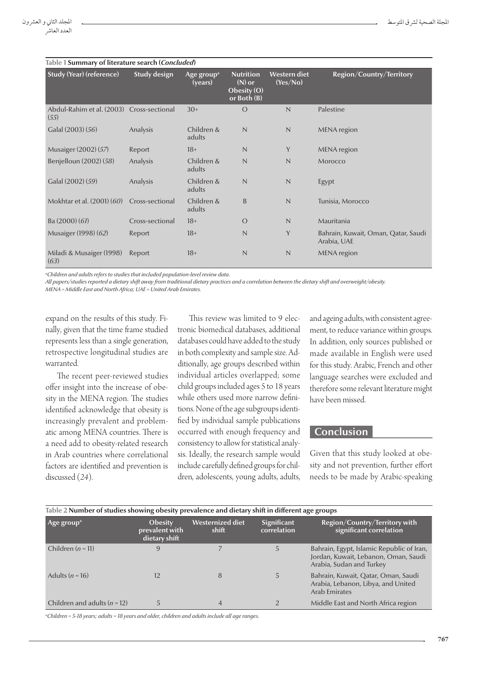| Table <b>T Summary of Herature Search (C<i>oncluded</i>)</b> |                     |                                                |                                                            |                                 |                                                    |  |  |
|--------------------------------------------------------------|---------------------|------------------------------------------------|------------------------------------------------------------|---------------------------------|----------------------------------------------------|--|--|
| <b>Study (Year) (reference)</b>                              | <b>Study design</b> | Age group <sup><math>a</math></sup><br>(years) | <b>Nutrition</b><br>$(N)$ or<br>Obesity (O)<br>or Both (B) | <b>Western diet</b><br>(Yes/No) | Region/Country/Territory                           |  |  |
| Abdul-Rahim et al. (2003) Cross-sectional<br>(55)            |                     | $30+$                                          | $\overline{O}$                                             | $\mathsf{N}$                    | Palestine                                          |  |  |
| Galal (2003) (56)                                            | Analysis            | Children &<br>adults                           | $\mathbb N$                                                | $\mathsf{N}$                    | MENA region                                        |  |  |
| Musaiger (2002) (57)                                         | Report              | $18+$                                          | $\mathbb N$                                                | Y                               | MENA region                                        |  |  |
| Benjelloun (2002) (58)                                       | Analysis            | Children &<br>adults                           | $\mathsf{N}$                                               | $\mathsf{N}$                    | Morocco                                            |  |  |
| Galal (2002) (59)                                            | Analysis            | Children &<br>adults                           | $\mathsf{N}$                                               | $\mathsf{N}$                    | Egypt                                              |  |  |
| Mokhtar et al. (2001) (60)                                   | Cross-sectional     | Children &<br>adults                           | B                                                          | $\mathsf{N}$                    | Tunisia, Morocco                                   |  |  |
| Ba (2000) (61)                                               | Cross-sectional     | $18+$                                          | $\Omega$                                                   | $\mathsf{N}$                    | Mauritania                                         |  |  |
| Musaiger (1998) (62)                                         | Report              | $18+$                                          | $\mathsf{N}$                                               | Y                               | Bahrain, Kuwait, Oman, Qatar, Saudi<br>Arabia, UAE |  |  |
| Miladi & Musaiger (1998)<br>(63)                             | Report              | $18+$                                          | $\mathbb N$                                                | $\mathsf{N}$                    | MENA region                                        |  |  |

*a Children and adults refers to studies that included population-level review data.*

 $T_{\text{c}}$ **LL**  $16$  Summary  $T_{\text{c}}$  (*Concluded*)  $T_{\text{c}}$ 

*All papers/studies reported a dietary shift away from traditional dietary practices and a correlation between the dietary shift and overweight/obesity. MENA = Middle East and North Africa; UAE = United Arab Emirates.*

expand on the results of this study. Finally, given that the time frame studied represents less than a single generation, retrospective longitudinal studies are warranted.

The recent peer-reviewed studies offer insight into the increase of obesity in the MENA region. The studies identified acknowledge that obesity is increasingly prevalent and problematic among MENA countries. There is a need add to obesity-related research in Arab countries where correlational factors are identified and prevention is discussed (*24*).

This review was limited to 9 electronic biomedical databases, additional databases could have added to the study in both complexity and sample size. Additionally, age groups described within individual articles overlapped; some child groups included ages 5 to 18 years while others used more narrow definitions. None of the age subgroups identified by individual sample publications occurred with enough frequency and consistency to allow for statistical analysis. Ideally, the research sample would include carefully defined groups for children, adolescents, young adults, adults,

and ageing adults, with consistent agreement, to reduce variance within groups. In addition, only sources published or made available in English were used for this study. Arabic, French and other language searches were excluded and therefore some relevant literature might have been missed.

### **Conclusion**

Given that this study looked at obesity and not prevention, further effort needs to be made by Arabic-speaking

| Table 2 Number of studies showing obesity prevalence and dietary shift in different age groups |                                                   |                           |                                   |                                                                                                               |  |  |  |
|------------------------------------------------------------------------------------------------|---------------------------------------------------|---------------------------|-----------------------------------|---------------------------------------------------------------------------------------------------------------|--|--|--|
| Age group <sup>a</sup>                                                                         | <b>Obesity</b><br>prevalent with<br>dietary shift | Westernized diet<br>shift | <b>Significant</b><br>correlation | Region/Country/Territory with<br>significant correlation                                                      |  |  |  |
| Children $(n = 11)$                                                                            | 9                                                 |                           | 5                                 | Bahrain, Egypt, Islamic Republic of Iran,<br>Jordan, Kuwait, Lebanon, Oman, Saudi<br>Arabia, Sudan and Turkey |  |  |  |
| Adults $(n=16)$                                                                                |                                                   | 8                         |                                   | Bahrain, Kuwait, Qatar, Oman, Saudi<br>Arabia, Lebanon, Libya, and United<br>Arab Emirates                    |  |  |  |
| Children and adults $(n = 12)$                                                                 |                                                   |                           |                                   | Middle East and North Africa region                                                                           |  |  |  |

*a Children = 5-18 years; adults = 18 years and older, children and adults include all age ranges.*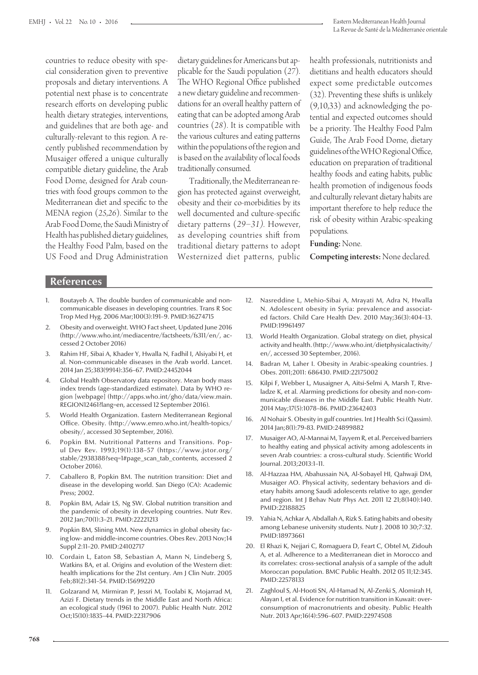countries to reduce obesity with special consideration given to preventive proposals and dietary interventions. A potential next phase is to concentrate research efforts on developing public health dietary strategies, interventions, and guidelines that are both age- and culturally-relevant to this region. A recently published recommendation by Musaiger offered a unique culturally compatible dietary guideline, the Arab Food Dome, designed for Arab countries with food groups common to the Mediterranean diet and specific to the MENA region (*25*,*26*). Similar to the Arab Food Dome, the Saudi Ministry of Health has published dietary guidelines, the Healthy Food Palm, based on the US Food and Drug Administration

dietary guidelines for Americans but applicable for the Saudi population (*27*). The WHO Regional Office published a new dietary guideline and recommendations for an overall healthy pattern of eating that can be adopted among Arab countries (*28*). It is compatible with the various cultures and eating patterns within the populations of the region and is based on the availability of local foods traditionally consumed.

Traditionally, the Mediterranean region has protected against overweight, obesity and their co-morbidities by its well documented and culture-specific dietary patterns (*29*–*31).* However, as developing countries shift from traditional dietary patterns to adopt Westernized diet patterns, public

health professionals, nutritionists and dietitians and health educators should expect some predictable outcomes (32). Preventing these shifts is unlikely (9,10,33) and acknowledging the potential and expected outcomes should be a priority. The Healthy Food Palm Guide, The Arab Food Dome, dietary guidelines of the WHO Regional Office, education on preparation of traditional healthy foods and eating habits, public health promotion of indigenous foods and culturally relevant dietary habits are important therefore to help reduce the risk of obesity within Arabic-speaking populations.

#### Funding: None.

Competing interests: None declared.

#### **References**

- Boutayeb A. The double burden of communicable and noncommunicable diseases in developing countries. Trans R Soc Trop Med Hyg. 2006 Mar;100(3):191–9. PMID:16274715
- 2. Obesity and overweight. WHO Fact sheet, Updated June 2016 (http://www.who.int/mediacentre/factsheets/fs311/en/, accessed 2 October 2016)
- 3. Rahim HF, Sibai A, Khader Y, Hwalla N, Fadhil I, Alsiyabi H, et al. Non-communicable diseases in the Arab world. Lancet. 2014 Jan 25;383(9914):356–67. PMID:24452044
- 4. Global Health Observatory data repository. Mean body mass index trends (age-standardized estimate). Data by WHO region [webpage] (http://apps.who.int/gho/data/view.main. REGION12461?lang=en, accessed 12 September 2016).
- 5. World Health Organization. Eastern Mediterranean Regional Office. Obesity. (http://www.emro.who.int/health-topics/ obesity/, accessed 30 September, 2016).
- 6. Popkin BM. Nutritional Patterns and Transitions. Popul Dev Rev. 1993;19(1):138–57 (https://www.jstor.org/ stable/2938388?seq=1#page\_scan\_tab\_contents, accessed 2 October 2016).
- 7. Caballero B, Popkin BM. The nutrition transition: Diet and disease in the developing world. San Diego (CA): Academic Press; 2002.
- 8. Popkin BM, Adair LS, Ng SW. Global nutrition transition and the pandemic of obesity in developing countries. Nutr Rev. 2012 Jan;70(1):3–21. PMID:22221213
- Popkin BM, Slining MM. New dynamics in global obesity facing low- and middle-income countries. Obes Rev. 2013 Nov;14 Suppl 2:11–20. PMID:24102717
- 10. Cordain L, Eaton SB, Sebastian A, Mann N, Lindeberg S, Watkins BA, et al. Origins and evolution of the Western diet: health implications for the 21st century. Am J Clin Nutr. 2005 Feb;81(2):341–54. PMID:15699220
- 11. Golzarand M, Mirmiran P, Jessri M, Toolabi K, Mojarrad M, Azizi F. Dietary trends in the Middle East and North Africa: an ecological study (1961 to 2007). Public Health Nutr. 2012 Oct;15(10):1835–44. PMID:22317906
- 12. Nasreddine L, Mehio-Sibai A, Mrayati M, Adra N, Hwalla N. Adolescent obesity in Syria: prevalence and associated factors. Child Care Health Dev. 2010 May;36(3):404–13. PMID:19961497
- 13. World Health Organization. Global strategy on diet, physical activity and health. (http://www.who.int/dietphysicalactivity/ en/, accessed 30 September, 2016).
- 14. Badran M, Laher I. Obesity in Arabic-speaking countries. J Obes. 2011;2011: 686430. PMID:22175002
- 15. Kilpi F, Webber L, Musaigner A, Aitsi-Selmi A, Marsh T, Rtveladze K, et al. Alarming predictions for obesity and non-communicable diseases in the Middle East. Public Health Nutr. 2014 May;17(5):1078–86. PMID:23642403
- 16. Al Nohair S. Obesity in gulf countries. Int J Health Sci (Qassim). 2014 Jan;8(1):79-83. PMID:24899882
- 17. Musaiger AO, Al-Mannai M, Tayyem R, et al. Perceived barriers to healthy eating and physical activity among adolescents in seven Arab countries: a cross-cultural study. Scientific World Journal. 2013;2013:1–11.
- 18. Al-Hazzaa HM, Abahussain NA, Al-Sobayel HI, Qahwaji DM, Musaiger AO. Physical activity, sedentary behaviors and dietary habits among Saudi adolescents relative to age, gender and region. Int J Behav Nutr Phys Act. 2011 12 21;8(140):140. PMID:22188825
- 19. Yahia N, Achkar A, Abdallah A, Rizk S. Eating habits and obesity among Lebanese university students. Nutr J. 2008 10 30;7:32. PMID:18973661
- 20. El Rhazi K, Nejjari C, Romaguera D, Feart C, Obtel M, Zidouh A, et al. Adherence to a Mediterranean diet in Morocco and its correlates: cross-sectional analysis of a sample of the adult Moroccan population. BMC Public Health. 2012 05 11;12:345. PMID:22578133
- 21. Zaghloul S, Al-Hooti SN, Al-Hamad N, Al-Zenki S, Alomirah H, Alayan I, et al. Evidence for nutrition transition in Kuwait: overconsumption of macronutrients and obesity. Public Health Nutr. 2013 Apr;16(4):596–607. PMID:22974508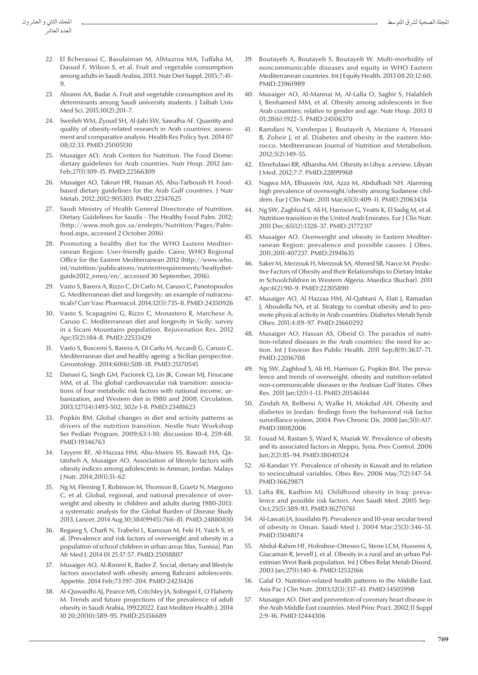- 22. El Bcheraoui C, Basulaiman M, AlMazroa MA, Tuffaha M, Daoud F, Wilson S, et al. Fruit and vegetable consumption among adults in Saudi Arabia, 2013. Nutr Diet Suppl. 2015;7:41– 9.
- 23. Alsunni AA, Badar A. Fruit and vegetable consumption and its determinants among Saudi university students. J Taibah Univ Med Sci. 2015;10(2):201–7.
- 24. Sweileh WM, Zyoud SH, Al-Jabi SW, Sawalha AF. Quantity and quality of obesity-related research in Arab countries: assessment and comparative analysis. Health Res Policy Syst. 2014 07 08;12:33. PMID:25005130
- 25. Musaiger AO; Arab Centers for Nutrition. The Food Dome: dietary guidelines for Arab countries. Nutr Hosp. 2012 Jan-Feb;27(1):109–15. PMID:22566309
- 26. Musaiger AO, Takruri HR, Hassan AS, Abu-Tarboush H. Foodbased dietary guidelines for the Arab Gulf countries. J Nutr Metab. 2012;2012:905303. PMID:22347625
- Saudi Ministry of Health General Directorate of Nutrition. Dietary Guidelines for Saudis - The Healthy Food Palm. 2012; (http://www.moh.gov.sa/endepts/Nutrition/Pages/Palmfood.aspx, accessed 2 October 2016)
- 28. Promoting a healthy diet for the WHO Eastern Mediterranean Region: User-friendly guide. Cairo: WHO Regional Office for the Eastern Mediterranean 2012 (http://www.who. int/nutrition/publications/nutrientrequirements/healtydietguide2012\_emro/en/, accessed 30 September, 2016).
- 29. Vasto S, Barera A, Rizzo C, Di Carlo M, Caruso C, Panotopoulos G. Mediterranean diet and longevity: an example of nutraceuticals? Curr Vasc Pharmacol. 2014;12(5):735–8. PMID:24350926
- 30. Vasto S, Scapagnini G, Rizzo C, Monastero R, Marchese A, Caruso C. Mediterranean diet and longevity in Sicily: survey in a Sicani Mountains population. Rejuvenation Res. 2012 Apr;15(2):184–8. PMID:22533429
- 31. Vasto S, Buscemi S, Barera A, Di Carlo M, Accardi G, Caruso C. Mediterranean diet and healthy ageing: a Sicilian perspective. Gerontology. 2014;60(6):508–18. PMID:25170545
- 32. Danaei G, Singh GM, Paciorek CJ, Lin JK, Cowan MJ, Finucane MM, et al. The global cardiovascular risk transition: associations of four metabolic risk factors with national income, urbanization, and Western diet in 1980 and 2008. Circulation. 2013;127(14):1493-502, 502e 1-8. PMID:23481623
- 33. Popkin BM. Global changes in diet and activity patterns as drivers of the nutrition transition. Nestle Nutr Workshop Ser Pediatr Program. 2009;63:1-10; discussion 10-4, 259-68. PMID:19346763
- 34. Tayyem RF, Al-Hazzaa HM, Abu-Mweis SS, Bawadi HA, Qatatsheh A, Musaiger AO. Association of lifestyle factors with obesity indices among adolescents in Amman, Jordan. Malays J Nutr. 2014;20(1):51–62.
- 35. Ng M, Fleming T, Robinson M, Thomson B, Graetz N, Margono C, et al. Global, regional, and national prevalence of overweight and obesity in children and adults during 1980-2013: a systematic analysis for the Global Burden of Disease Study 2013. Lancet. 2014 Aug 30;384(9945):766–81. PMID:24880830
- 36. Regaieg S, Charfi N, Trabelsi L, Kamoun M, Feki H, Yaich S, et al. [Prevalence and risk factors of overweight and obesity in a population of school children in urban areas Sfax, Tunisia]. Pan Afr Med J. 2014 01 25;17:57. PMID:25018807
- 37. Musaiger AO, Al-Roomi K, Bader Z. Social, dietary and lifestyle factors associated with obesity among Bahraini adolescents. Appetite. 2014 Feb;73:197–204. PMID:24231426
- 38. Al-Quwaidhi AJ, Pearce MS, Critchley JA, Sobngwi E, O'Flaherty M. Trends and future projections of the prevalence of adult obesity in Saudi Arabia, 19922022. East Mediterr Health J. 2014 10 20;20(10):589–95. PMID:25356689
- 39. Boutayeb A, Boutayeb S, Boutayeb W. Multi-morbidity of noncommunicable diseases and equity in WHO Eastern Mediterranean countries. Int J Equity Health. 2013 08 20;12:60. PMID:23961989
- 40. Musaiger AO, Al-Mannai M, Al-Lalla O, Saghir S, Halahleh I, Benhamed MM, et al. Obesity among adolescents in five Arab countries; relative to gender and age. Nutr Hosp. 2013 11 01;28(6):1922–5. PMID:24506370
- 41. Ramdani N, Vanderpas J, Boutayeb A, Meziane A, Hassani B, Zoheir J, et al. Diabetes and obesity in the eastern Morocco. Mediterranean Journal of Nutrition and Metabolism. 2012;5(2):149–55.
- 42. Elmehdawi RR, Albarsha AM. Obesity in Libya: a review. Libyan J Med. 2012;7:7. PMID:22899968
- 43. Nagwa MA, Elhussein AM, Azza M, Abdulhadi NH. Alarming high prevalence of overweight/obesity among Sudanese children. Eur J Clin Nutr. 2011 Mar;65(3):409–11. PMID:21063434
- 44. Ng SW, Zaghloul S, Ali H, Harrison G, Yeatts K, El Sadig M, et al. Nutrition transition in the United Arab Emirates. Eur J Clin Nutr. 2011 Dec;65(12):1328–37. PMID:21772317
- 45. Musaiger AO. Overweight and obesity in Eastern Mediterranean Region: prevalence and possible causes. J Obes. 2011;2011:407237. PMID:21941635
- 46. Saker M, Merzouk H, Merzouk SA, Ahmed SB, Narce M. Predictive Factors of Obesity and their Relationships to Dietary Intake in Schoolchildren in Western Algeria. Maedica (Buchar). 2011 Apr;6(2):90–9. PMID:22205890
- 47. Musaiger AO, Al Hazzaa HM, Al-Qahtani A, Elati J, Ramadan J, Aboulella NA, et al. Strategy to combat obesity and to promote physical activity in Arab countries. Diabetes Metab Syndr Obes. 2011;4:89–97. PMID:21660292
- 48. Musaiger AO, Hassan AS, Obeid O. The paradox of nutrition-related diseases in the Arab countries: the need for action. Int J Environ Res Public Health. 2011 Sep;8(9):3637–71. PMID:22016708
- 49. Ng SW, Zaghloul S, Ali HI, Harrison G, Popkin BM. The prevalence and trends of overweight, obesity and nutrition-related non-communicable diseases in the Arabian Gulf States. Obes Rev. 2011 Jan;12(1):1–13. PMID:20546144
- 50. Zindah M, Belbeisi A, Walke H, Mokdad AH. Obesity and diabetes in Jordan: findings from the behavioral risk factor surveillance system, 2004. Prev Chronic Dis. 2008 Jan;5(1):A17. PMID:18082006
- 51. Fouad M, Rastam S, Ward K, Maziak W. Prevalence of obesity and its associated factors in Aleppo, Syria. Prev Control. 2006 Jun;2(2):85–94. PMID:18040524
- 52. Al-Kandari YY. Prevalence of obesity in Kuwait and its relation to sociocultural variables. Obes Rev. 2006 May;7(2):147–54. PMID:16629871
- 53. Lafta RK, Kadhim MJ. Childhood obesity in Iraq: prevalence and possible risk factors. Ann Saudi Med. 2005 Sep-Oct;25(5):389–93. PMID:16270761
- 54. Al-Lawati JA, Jousilahti PJ. Prevalence and 10-year secular trend of obesity in Oman. Saudi Med J. 2004 Mar;25(3):346–51. PMID:15048174
- 55. Abdul-Rahim HF, Holmboe-Ottesen G, Stene LCM, Husseini A, Giacaman R, Jervell J, et al. Obesity in a rural and an urban Palestinian West Bank population. Int J Obes Relat Metab Disord. 2003 Jan;27(1):140–6. PMID:12532166
- 56. Galal O. Nutrition-related health patterns in the Middle East. Asia Pac J Clin Nutr. 2003;12(3):337–43. PMID:14505998
- 57. Musaiger AO. Diet and prevention of coronary heart disease in the Arab Middle East countries. Med Princ Pract. 2002;11 Suppl 2:9–16. PMID:12444306